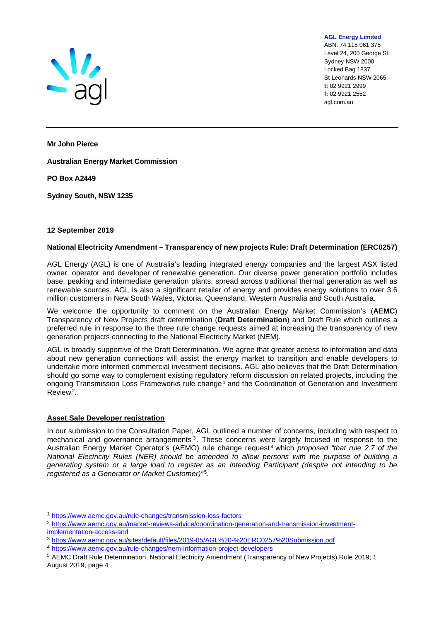

ABN: 74 115 061 375 Level 24, 200 George St Sydney NSW 2000 Locked Bag 1837 St Leonards NSW 2065 **t:** 02 9921 2999 **f:** 02 9921 2552 agl.com.au

**AGL Energy Limited**

**Mr John Pierce** 

**Australian Energy Market Commission** 

**PO Box A2449** 

**Sydney South, NSW 1235**

## **12 September 2019**

## **National Electricity Amendment – Transparency of new projects Rule: Draft Determination (ERC0257)**

AGL Energy (AGL) is one of Australia's leading integrated energy companies and the largest ASX listed owner, operator and developer of renewable generation. Our diverse power generation portfolio includes base, peaking and intermediate generation plants, spread across traditional thermal generation as well as renewable sources. AGL is also a significant retailer of energy and provides energy solutions to over 3.6 million customers in New South Wales, Victoria, Queensland, Western Australia and South Australia.

We welcome the opportunity to comment on the Australian Energy Market Commission's (**AEMC**) Transparency of New Projects draft determination (**Draft Determination**) and Draft Rule which outlines a preferred rule in response to the three rule change requests aimed at increasing the transparency of new generation projects connecting to the National Electricity Market (NEM).

AGL is broadly supportive of the Draft Determination. We agree that greater access to information and data about new generation connections will assist the energy market to transition and enable developers to undertake more informed commercial investment decisions. AGL also believes that the Draft Determination should go some way to complement existing regulatory reform discussion on related projects, including the ongoing Transmission Loss Frameworks rule change.<sup>1</sup> and the Coordination of Generation and Investment Review<sup>2</sup>.

## **Asset Sale Developer registration**

In our submission to the Consultation Paper, AGL outlined a number of concerns, including with respect to mechanical and governance arrangements.<sup>3</sup>. These concerns were largely focused in response to the Australian Energy Market Operator's (AEMO) rule change request<sup>4</sup> which *proposed "that rule 2.7 of the National Electricity Rules (NER) should be amended to allow persons with the purpose of building a generating system or a large load to register as an Intending Participant (despite not intending to be*  registered as a Generator or Market Customer)"<sup>5</sup>.

[implementation-access-and](https://www.aemc.gov.au/market-reviews-advice/coordination-generation-and-transmission-investment-implementation-access-and)

<sup>1</sup> <https://www.aemc.gov.au/rule-changes/transmission-loss-factors>

<sup>&</sup>lt;sup>2</sup> [https://www.aemc.gov.au/market-reviews-advice/coordination-generation-and-transmission-investment-](https://www.aemc.gov.au/market-reviews-advice/coordination-generation-and-transmission-investment-implementation-access-and)

<sup>3</sup> <https://www.aemc.gov.au/sites/default/files/2019-05/AGL%20-%20ERC0257%20Submission.pdf>

<sup>4</sup> <https://www.aemc.gov.au/rule-changes/nem-information-project-developers>

<sup>5</sup> AEMC Draft Rule Determination, National Electricity Amendment (Transparency of New Projects) Rule 2019; 1 August 2019; page 4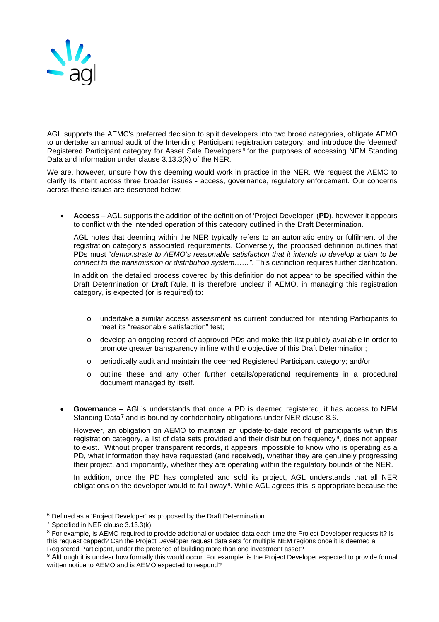

AGL supports the AEMC's preferred decision to split developers into two broad categories, obligate AEMO to undertake an annual audit of the Intending Participant registration category, and introduce the 'deemed' Registered Participant category for Asset Sale Developers<sup>6</sup> for the purposes of accessing NEM Standing Data and information under clause 3.13.3(k) of the NER.

We are, however, unsure how this deeming would work in practice in the NER. We request the AEMC to clarify its intent across three broader issues - access, governance, regulatory enforcement. Our concerns across these issues are described below:

• **Access** – AGL supports the addition of the definition of 'Project Developer' (**PD**), however it appears to conflict with the intended operation of this category outlined in the Draft Determination.

AGL notes that deeming within the NER typically refers to an automatic entry or fulfilment of the registration category's associated requirements. Conversely, the proposed definition outlines that PDs must "*demonstrate to AEMO's reasonable satisfaction that it intends to develop a plan to be connect to the transmission or distribution system……"*. This distinction requires further clarification.

In addition, the detailed process covered by this definition do not appear to be specified within the Draft Determination or Draft Rule. It is therefore unclear if AEMO, in managing this registration category, is expected (or is required) to:

- o undertake a similar access assessment as current conducted for Intending Participants to meet its "reasonable satisfaction" test;
- o develop an ongoing record of approved PDs and make this list publicly available in order to promote greater transparency in line with the objective of this Draft Determination;
- o periodically audit and maintain the deemed Registered Participant category; and/or
- o outline these and any other further details/operational requirements in a procedural document managed by itself.
- **Governance** AGL's understands that once a PD is deemed registered, it has access to NEM Standing Data<sup>7</sup> and is bound by confidentiality obligations under NER clause 8.6.

However, an obligation on AEMO to maintain an update-to-date record of participants within this registration category, a list of data sets provided and their distribution frequency.<sup>8</sup>, does not appear to exist. Without proper transparent records, it appears impossible to know who is operating as a PD, what information they have requested (and received), whether they are genuinely progressing their project, and importantly, whether they are operating within the regulatory bounds of the NER.

In addition, once the PD has completed and sold its project, AGL understands that all NER obligations on the developer would to fall away.<sup>9</sup>. While AGL agrees this is appropriate because the

 $6$  Defined as a 'Project Developer' as proposed by the Draft Determination.<br>7 Specified in NER clause 3.13.3(k)

<sup>&</sup>lt;sup>8</sup> For example, is AEMO required to provide additional or updated data each time the Project Developer requests it? Is this request capped? Can the Project Developer request data sets for multiple NEM regions once it is deemed a Registered Participant, under the pretence of building more than one investment asset?

<sup>&</sup>lt;sup>9</sup> Although it is unclear how formally this would occur. For example, is the Project Developer expected to provide formal written notice to AEMO and is AEMO expected to respond?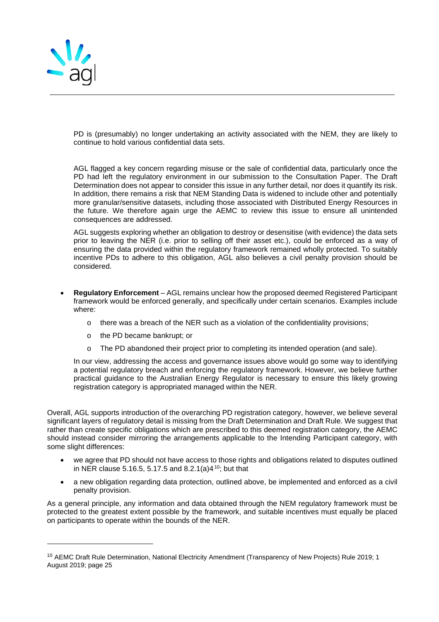

PD is (presumably) no longer undertaking an activity associated with the NEM, they are likely to continue to hold various confidential data sets.

AGL flagged a key concern regarding misuse or the sale of confidential data, particularly once the PD had left the regulatory environment in our submission to the Consultation Paper. The Draft Determination does not appear to consider this issue in any further detail, nor does it quantify its risk. In addition, there remains a risk that NEM Standing Data is widened to include other and potentially more granular/sensitive datasets, including those associated with Distributed Energy Resources in the future. We therefore again urge the AEMC to review this issue to ensure all unintended consequences are addressed.

AGL suggests exploring whether an obligation to destroy or desensitise (with evidence) the data sets prior to leaving the NER (i.e. prior to selling off their asset etc.), could be enforced as a way of ensuring the data provided within the regulatory framework remained wholly protected. To suitably incentive PDs to adhere to this obligation, AGL also believes a civil penalty provision should be considered.

- **Regulatory Enforcement** AGL remains unclear how the proposed deemed Registered Participant framework would be enforced generally, and specifically under certain scenarios. Examples include where:
	- $\circ$  there was a breach of the NER such as a violation of the confidentiality provisions;
	- o the PD became bankrupt; or
	- o The PD abandoned their project prior to completing its intended operation (and sale).

In our view, addressing the access and governance issues above would go some way to identifying a potential regulatory breach and enforcing the regulatory framework. However, we believe further practical guidance to the Australian Energy Regulator is necessary to ensure this likely growing registration category is appropriated managed within the NER.

Overall, AGL supports introduction of the overarching PD registration category, however, we believe several significant layers of regulatory detail is missing from the Draft Determination and Draft Rule. We suggest that rather than create specific obligations which are prescribed to this deemed registration category, the AEMC should instead consider mirroring the arrangements applicable to the Intending Participant category, with some slight differences:

- we agree that PD should not have access to those rights and obligations related to disputes outlined in NER clause 5.16.5, 5.17.5 and 8.2.1(a)4 $^{\rm 10}$ ; but that
- a new obligation regarding data protection, outlined above, be implemented and enforced as a civil penalty provision.

As a general principle, any information and data obtained through the NEM regulatory framework must be protected to the greatest extent possible by the framework, and suitable incentives must equally be placed on participants to operate within the bounds of the NER.

<sup>10</sup> AEMC Draft Rule Determination, National Electricity Amendment (Transparency of New Projects) Rule 2019; 1 August 2019; page 25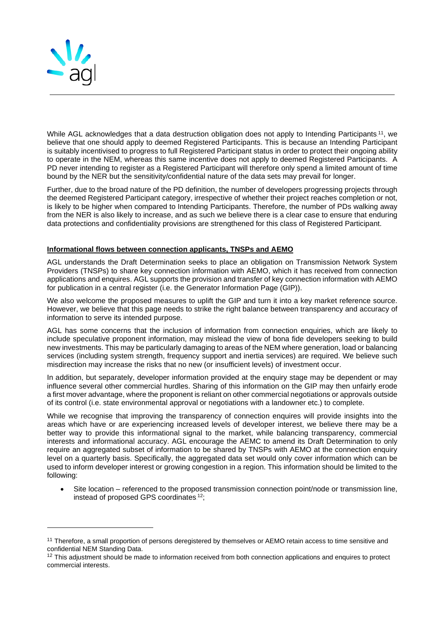

While AGL acknowledges that a data destruction obligation does not apply to Intending Participants.11, we believe that one should apply to deemed Registered Participants. This is because an Intending Participant is suitably incentivised to progress to full Registered Participant status in order to protect their ongoing ability to operate in the NEM, whereas this same incentive does not apply to deemed Registered Participants. A PD never intending to register as a Registered Participant will therefore only spend a limited amount of time bound by the NER but the sensitivity/confidential nature of the data sets may prevail for longer.

Further, due to the broad nature of the PD definition, the number of developers progressing projects through the deemed Registered Participant category, irrespective of whether their project reaches completion or not, is likely to be higher when compared to Intending Participants. Therefore, the number of PDs walking away from the NER is also likely to increase, and as such we believe there is a clear case to ensure that enduring data protections and confidentiality provisions are strengthened for this class of Registered Participant.

## **Informational flows between connection applicants, TNSPs and AEMO**

AGL understands the Draft Determination seeks to place an obligation on Transmission Network System Providers (TNSPs) to share key connection information with AEMO, which it has received from connection applications and enquires. AGL supports the provision and transfer of key connection information with AEMO for publication in a central register (i.e. the Generator Information Page (GIP)).

We also welcome the proposed measures to uplift the GIP and turn it into a key market reference source. However, we believe that this page needs to strike the right balance between transparency and accuracy of information to serve its intended purpose.

AGL has some concerns that the inclusion of information from connection enquiries, which are likely to include speculative proponent information, may mislead the view of bona fide developers seeking to build new investments. This may be particularly damaging to areas of the NEM where generation, load or balancing services (including system strength, frequency support and inertia services) are required. We believe such misdirection may increase the risks that no new (or insufficient levels) of investment occur.

In addition, but separately, developer information provided at the enquiry stage may be dependent or may influence several other commercial hurdles. Sharing of this information on the GIP may then unfairly erode a first mover advantage, where the proponent is reliant on other commercial negotiations or approvals outside of its control (i.e. state environmental approval or negotiations with a landowner etc.) to complete.

While we recognise that improving the transparency of connection enquires will provide insights into the areas which have or are experiencing increased levels of developer interest, we believe there may be a better way to provide this informational signal to the market, while balancing transparency, commercial interests and informational accuracy. AGL encourage the AEMC to amend its Draft Determination to only require an aggregated subset of information to be shared by TNSPs with AEMO at the connection enquiry level on a quarterly basis. Specifically, the aggregated data set would only cover information which can be used to inform developer interest or growing congestion in a region. This information should be limited to the following:

• Site location – referenced to the proposed transmission connection point/node or transmission line, instead of proposed GPS coordinates.<sup>12</sup>;

<sup>&</sup>lt;sup>11</sup> Therefore, a small proportion of persons deregistered by themselves or AEMO retain access to time sensitive and confidential NEM Standing Data.

<sup>&</sup>lt;sup>12</sup> This adjustment should be made to information received from both connection applications and enquires to protect commercial interests.